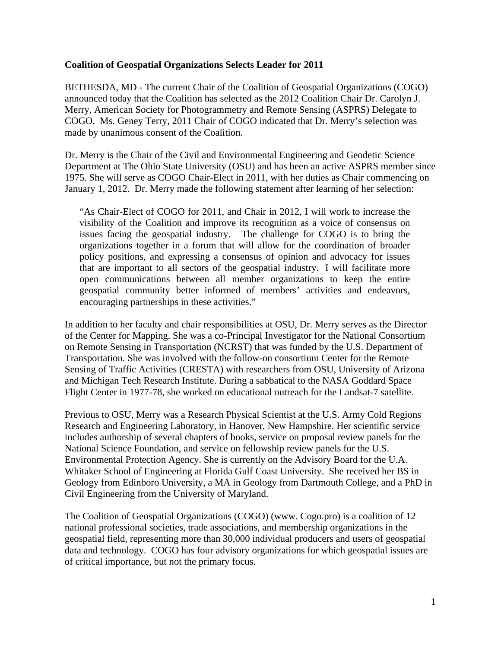## **Coalition of Geospatial Organizations Selects Leader for 2011**

BETHESDA, MD - The current Chair of the Coalition of Geospatial Organizations (COGO) announced today that the Coalition has selected as the 2012 Coalition Chair Dr. Carolyn J. Merry, American Society for Photogrammetry and Remote Sensing (ASPRS) Delegate to COGO. Ms. Geney Terry, 2011 Chair of COGO indicated that Dr. Merry's selection was made by unanimous consent of the Coalition.

Dr. Merry is the Chair of the Civil and Environmental Engineering and Geodetic Science Department at The Ohio State University (OSU) and has been an active ASPRS member since 1975. She will serve as COGO Chair-Elect in 2011, with her duties as Chair commencing on January 1, 2012. Dr. Merry made the following statement after learning of her selection:

"As Chair-Elect of COGO for 2011, and Chair in 2012, I will work to increase the visibility of the Coalition and improve its recognition as a voice of consensus on issues facing the geospatial industry. The challenge for COGO is to bring the organizations together in a forum that will allow for the coordination of broader policy positions, and expressing a consensus of opinion and advocacy for issues that are important to all sectors of the geospatial industry. I will facilitate more open communications between all member organizations to keep the entire geospatial community better informed of members' activities and endeavors, encouraging partnerships in these activities."

In addition to her faculty and chair responsibilities at OSU, Dr. Merry serves as the Director of the Center for Mapping. She was a co-Principal Investigator for the National Consortium on Remote Sensing in Transportation (NCRST) that was funded by the U.S. Department of Transportation. She was involved with the follow-on consortium Center for the Remote Sensing of Traffic Activities (CRESTA) with researchers from OSU, University of Arizona and Michigan Tech Research Institute. During a sabbatical to the NASA Goddard Space Flight Center in 1977-78, she worked on educational outreach for the Landsat-7 satellite.

Previous to OSU, Merry was a Research Physical Scientist at the U.S. Army Cold Regions Research and Engineering Laboratory, in Hanover, New Hampshire. Her scientific service includes authorship of several chapters of books, service on proposal review panels for the National Science Foundation, and service on fellowship review panels for the U.S. Environmental Protection Agency. She is currently on the Advisory Board for the U.A. Whitaker School of Engineering at Florida Gulf Coast University. She received her BS in Geology from Edinboro University, a MA in Geology from Dartmouth College, and a PhD in Civil Engineering from the University of Maryland.

The Coalition of Geospatial Organizations (COGO) (www. Cogo.pro) is a coalition of 12 national professional societies, trade associations, and membership organizations in the geospatial field, representing more than 30,000 individual producers and users of geospatial data and technology. COGO has four advisory organizations for which geospatial issues are of critical importance, but not the primary focus.